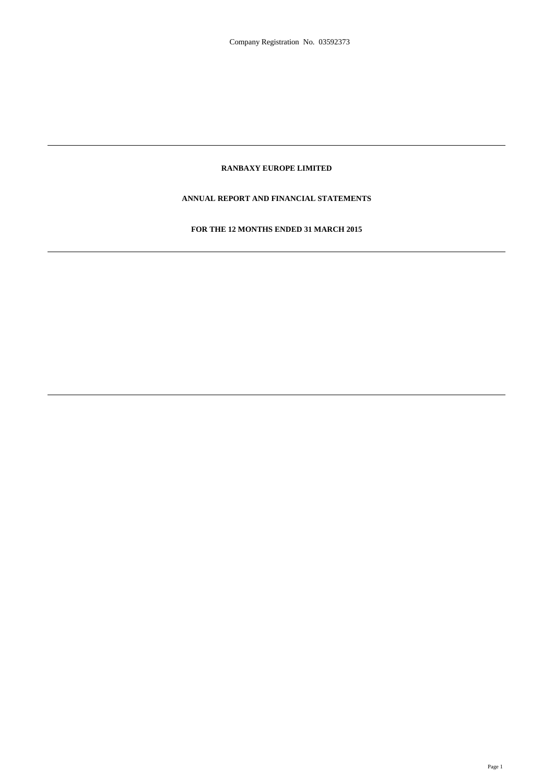# **RANBAXY EUROPE LIMITED**

# **ANNUAL REPORT AND FINANCIAL STATEMENTS**

# **FOR THE 12 MONTHS ENDED 31 MARCH 2015**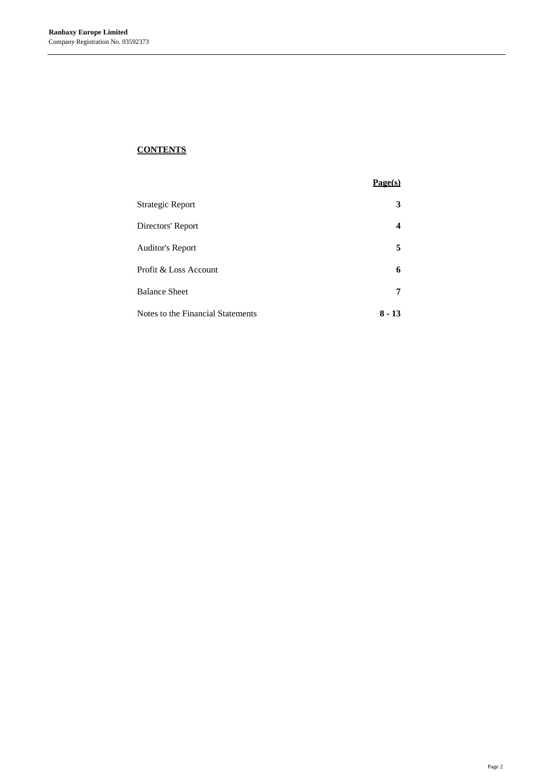# **CONTENTS**

|                                   | Page(s) |
|-----------------------------------|---------|
| <b>Strategic Report</b>           | 3       |
| Directors' Report                 | 4       |
| <b>Auditor's Report</b>           | 5       |
| Profit & Loss Account             | 6       |
| <b>Balance Sheet</b>              | 7       |
| Notes to the Financial Statements | 8 - 13  |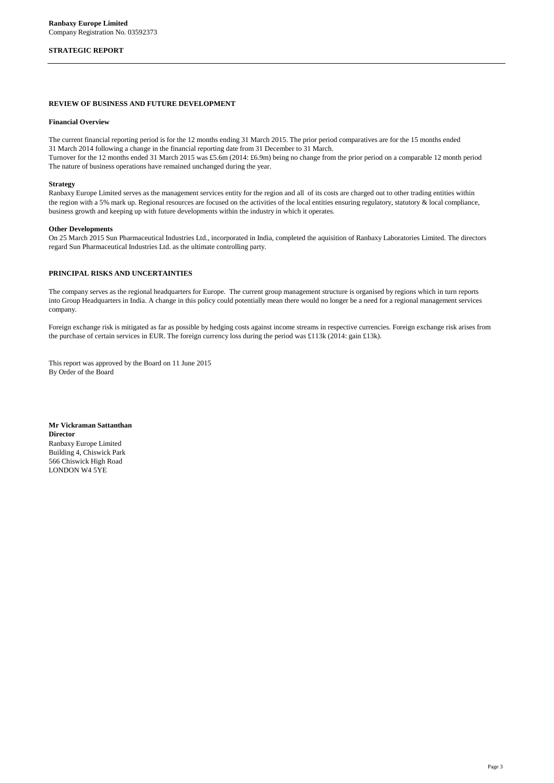### **STRATEGIC REPORT**

#### **REVIEW OF BUSINESS AND FUTURE DEVELOPMENT**

#### **Financial Overview**

The current financial reporting period is for the 12 months ending 31 March 2015. The prior period comparatives are for the 15 months ended 31 March 2014 following a change in the financial reporting date from 31 December to 31 March.

Turnover for the 12 months ended 31 March 2015 was £5.6m (2014: £6.9m) being no change from the prior period on a comparable 12 month period The nature of business operations have remained unchanged during the year.

#### **Strategy**

Ranbaxy Europe Limited serves as the management services entity for the region and all of its costs are charged out to other trading entities within the region with a 5% mark up. Regional resources are focused on the activities of the local entities ensuring regulatory, statutory & local compliance, business growth and keeping up with future developments within the industry in which it operates.

#### **Other Developments**

On 25 March 2015 Sun Pharmaceutical Industries Ltd., incorporated in India, completed the aquisition of Ranbaxy Laboratories Limited. The directors regard Sun Pharmaceutical Industries Ltd. as the ultimate controlling party.

#### **PRINCIPAL RISKS AND UNCERTAINTIES**

The company serves as the regional headquarters for Europe. The current group management structure is organised by regions which in turn reports into Group Headquarters in India. A change in this policy could potentially mean there would no longer be a need for a regional management services company.

Foreign exchange risk is mitigated as far as possible by hedging costs against income streams in respective currencies. Foreign exchange risk arises from the purchase of certain services in EUR. The foreign currency loss during the period was £113k (2014: gain £13k).

This report was approved by the Board on 11 June 2015 By Order of the Board

**Mr Vickraman Sattanthan Director** Ranbaxy Europe Limited Building 4, Chiswick Park 566 Chiswick High Road LONDON W4 5YE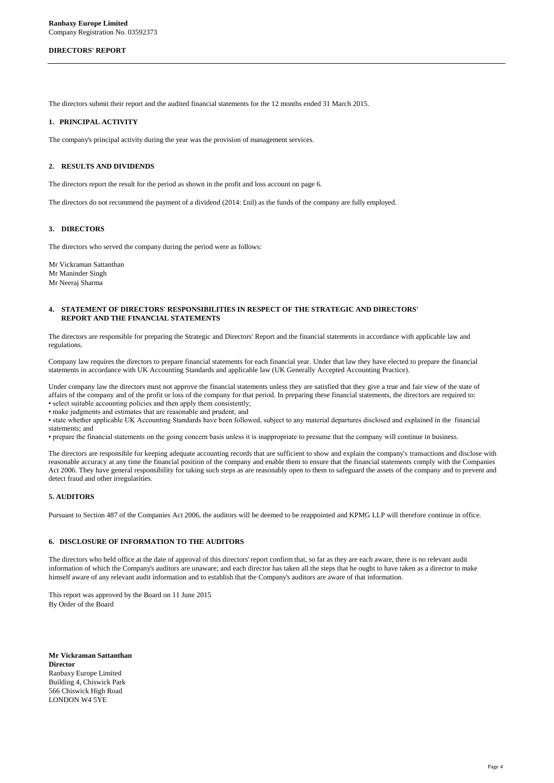#### **DIRECTORS' REPORT**

The directors submit their report and the audited financial statements for the 12 months ended 31 March 2015.

#### **1. PRINCIPAL ACTIVITY**

The company's principal activity during the year was the provision of management services.

#### **2. RESULTS AND DIVIDENDS**

The directors report the result for the period as shown in the profit and loss account on page 6.

The directors do not recommend the payment of a dividend (2014: £nil) as the funds of the company are fully employed.

#### **3. DIRECTORS**

The directors who served the company during the period were as follows:

Mr Vickraman Sattanthan Mr Maninder Singh Mr Neeraj Sharma

#### **4. STATEMENT OF DIRECTORS' RESPONSIBILITIES IN RESPECT OF THE STRATEGIC AND DIRECTORS' REPORT AND THE FINANCIAL STATEMENTS**

The directors are responsible for preparing the Strategic and Directors' Report and the financial statements in accordance with applicable law and regulations.

Company law requires the directors to prepare financial statements for each financial year. Under that law they have elected to prepare the financial statements in accordance with UK Accounting Standards and applicable law (UK Generally Accepted Accounting Practice).

Under company law the directors must not approve the financial statements unless they are satisfied that they give a true and fair view of the state of affairs of the company and of the profit or loss of the company for that period. In preparing these financial statements, the directors are required to: • select suitable accounting policies and then apply them consistently;

• make judgments and estimates that are reasonable and prudent; and

• state whether applicable UK Accounting Standards have been followed, subject to any material departures disclosed and explained in the financial statements; and

• prepare the financial statements on the going concern basis unless it is inappropriate to presume that the company will continue in business.

The directors are responsible for keeping adequate accounting records that are sufficient to show and explain the company's transactions and disclose with reasonable accuracy at any time the financial position of the company and enable them to ensure that the financial statements comply with the Companies Act 2006. They have general responsibility for taking such steps as are reasonably open to them to safeguard the assets of the company and to prevent and detect fraud and other irregularities.

## **5. AUDITORS**

Pursuant to Section 487 of the Companies Act 2006, the auditors will be deemed to be reappointed and KPMG LLP will therefore continue in office.

# **6. DISCLOSURE OF INFORMATION TO THE AUDITORS**

The directors who held office at the date of approval of this directors' report confirm that, so far as they are each aware, there is no relevant audit information of which the Company's auditors are unaware; and each director has taken all the steps that he ought to have taken as a director to make himself aware of any relevant audit information and to establish that the Company's auditors are aware of that information.

This report was approved by the Board on 11 June 2015 By Order of the Board

**Mr Vickraman Sattanthan Director** Ranbaxy Europe Limited Building 4, Chiswick Park 566 Chiswick High Road LONDON W4 5YE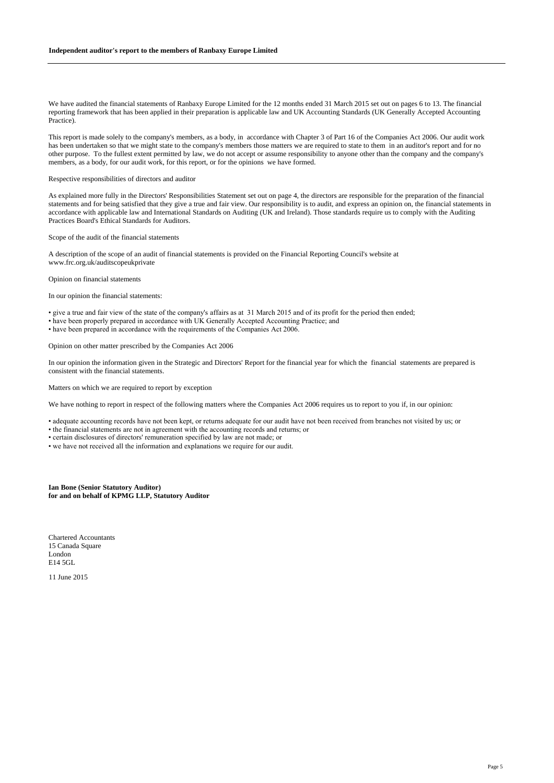We have audited the financial statements of Ranbaxy Europe Limited for the 12 months ended 31 March 2015 set out on pages 6 to 13. The financial reporting framework that has been applied in their preparation is applicable law and UK Accounting Standards (UK Generally Accepted Accounting Practice).

This report is made solely to the company's members, as a body, in accordance with Chapter 3 of Part 16 of the Companies Act 2006. Our audit work has been undertaken so that we might state to the company's members those matters we are required to state to them in an auditor's report and for no other purpose. To the fullest extent permitted by law, we do not accept or assume responsibility to anyone other than the company and the company's members, as a body, for our audit work, for this report, or for the opinions we have formed.

Respective responsibilities of directors and auditor

As explained more fully in the Directors' Responsibilities Statement set out on page 4, the directors are responsible for the preparation of the financial statements and for being satisfied that they give a true and fair view. Our responsibility is to audit, and express an opinion on, the financial statements in accordance with applicable law and International Standards on Auditing (UK and Ireland). Those standards require us to comply with the Auditing Practices Board's Ethical Standards for Auditors.

Scope of the audit of the financial statements

A description of the scope of an audit of financial statements is provided on the Financial Reporting Council's website at www.frc.org.uk/auditscopeukprivate

Opinion on financial statements

In our opinion the financial statements:

• give a true and fair view of the state of the company's affairs as at 31 March 2015 and of its profit for the period then ended;

• have been properly prepared in accordance with UK Generally Accepted Accounting Practice; and

• have been prepared in accordance with the requirements of the Companies Act 2006.

Opinion on other matter prescribed by the Companies Act 2006

In our opinion the information given in the Strategic and Directors' Report for the financial year for which the financial statements are prepared is consistent with the financial statements.

Matters on which we are required to report by exception

We have nothing to report in respect of the following matters where the Companies Act 2006 requires us to report to you if, in our opinion:

• adequate accounting records have not been kept, or returns adequate for our audit have not been received from branches not visited by us; or

• the financial statements are not in agreement with the accounting records and returns; or

• certain disclosures of directors' remuneration specified by law are not made; or

• we have not received all the information and explanations we require for our audit.

**Ian Bone (Senior Statutory Auditor) for and on behalf of KPMG LLP, Statutory Auditor**

Chartered Accountants 15 Canada Square London E14 5GL

11 June 2015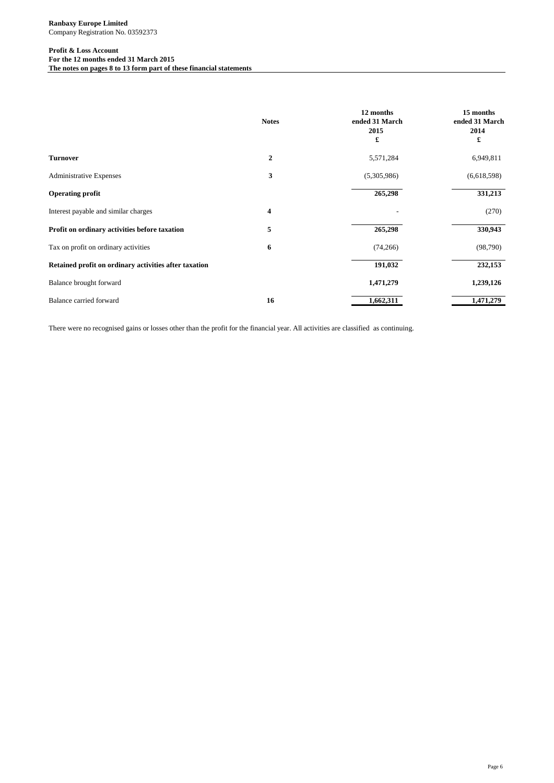### **Profit & Loss Account For the 12 months ended 31 March 2015**

**The notes on pages 8 to 13 form part of these financial statements**

|                                                       | <b>Notes</b> | 12 months<br>ended 31 March<br>2015<br>£ | 15 months<br>ended 31 March<br>2014<br>£ |
|-------------------------------------------------------|--------------|------------------------------------------|------------------------------------------|
| <b>Turnover</b>                                       | $\mathbf{2}$ | 5,571,284                                | 6,949,811                                |
| <b>Administrative Expenses</b>                        | 3            | (5,305,986)                              | (6,618,598)                              |
| <b>Operating profit</b>                               |              | 265,298                                  | 331,213                                  |
| Interest payable and similar charges                  | 4            |                                          | (270)                                    |
| Profit on ordinary activities before taxation         | 5            | 265,298                                  | 330,943                                  |
| Tax on profit on ordinary activities                  | 6            | (74, 266)                                | (98, 790)                                |
| Retained profit on ordinary activities after taxation |              | 191,032                                  | 232,153                                  |
| Balance brought forward                               |              | 1,471,279                                | 1,239,126                                |
| Balance carried forward                               | 16           | 1,662,311                                | 1,471,279                                |

There were no recognised gains or losses other than the profit for the financial year. All activities are classified as continuing.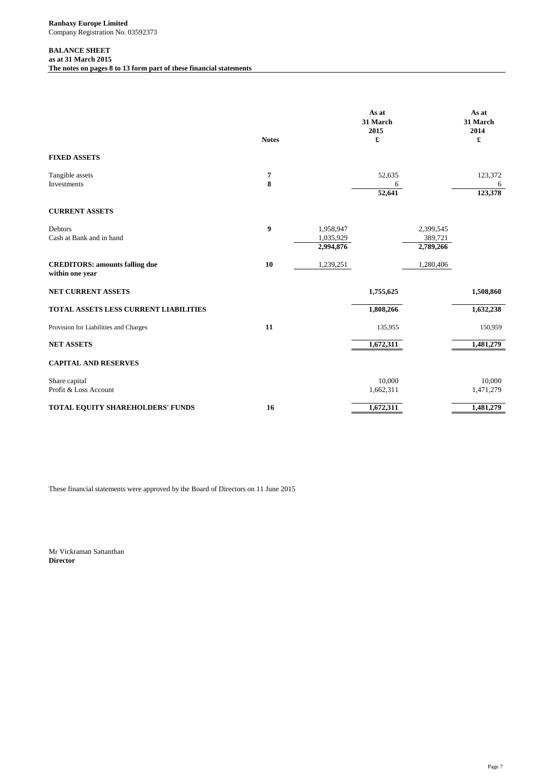# **BALANCE SHEET**

**as at 31 March 2015 The notes on pages 8 to 13 form part of these financial statements**

|                                                          | <b>Notes</b> |                                     | As at<br>31 March<br>2015<br>£ |                                   | As at<br>31 March<br>2014<br>£ |
|----------------------------------------------------------|--------------|-------------------------------------|--------------------------------|-----------------------------------|--------------------------------|
| <b>FIXED ASSETS</b>                                      |              |                                     |                                |                                   |                                |
| Tangible assets<br><b>Investments</b>                    | 7<br>8       |                                     | 52,635<br>6<br>52,641          |                                   | 123,372<br>6<br>123,378        |
| <b>CURRENT ASSETS</b>                                    |              |                                     |                                |                                   |                                |
| Debtors<br>Cash at Bank and in hand                      | 9            | 1,958,947<br>1,035,929<br>2,994,876 |                                | 2,399,545<br>389,721<br>2,789,266 |                                |
| <b>CREDITORS: amounts falling due</b><br>within one year | 10           | 1,239,251                           |                                | 1,280,406                         |                                |
| <b>NET CURRENT ASSETS</b>                                |              |                                     | 1,755,625                      |                                   | 1,508,860                      |
| <b>TOTAL ASSETS LESS CURRENT LIABILITIES</b>             |              |                                     | 1,808,266                      |                                   | 1,632,238                      |
| Provision for Liabilities and Charges                    | 11           |                                     | 135,955                        |                                   | 150,959                        |
| <b>NET ASSETS</b>                                        |              |                                     | 1,672,311                      |                                   | 1,481,279                      |
| <b>CAPITAL AND RESERVES</b>                              |              |                                     |                                |                                   |                                |
| Share capital<br>Profit & Loss Account                   |              |                                     | 10,000<br>1,662,311            |                                   | 10,000<br>1,471,279            |
| TOTAL EQUITY SHAREHOLDERS' FUNDS                         | 16           |                                     | 1,672,311                      |                                   | 1,481,279                      |

These financial statements were approved by the Board of Directors on 11 June 2015

Mr Vickraman Sattanthan **Director**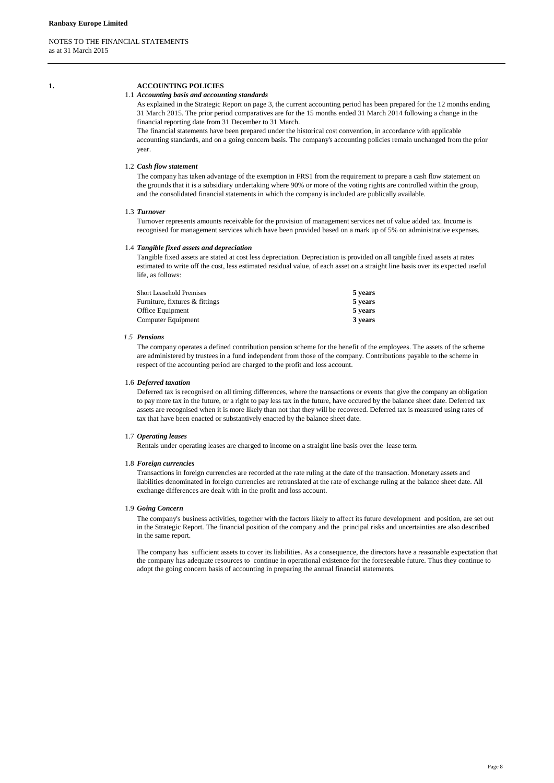# **1. ACCOUNTING POLICIES**

#### 1.1 *Accounting basis and accounting standards*

As explained in the Strategic Report on page 3, the current accounting period has been prepared for the 12 months ending 31 March 2015. The prior period comparatives are for the 15 months ended 31 March 2014 following a change in the financial reporting date from 31 December to 31 March.

The financial statements have been prepared under the historical cost convention, in accordance with applicable accounting standards, and on a going concern basis. The company's accounting policies remain unchanged from the prior year.

### 1.2 *Cash flow statement*

The company has taken advantage of the exemption in FRS1 from the requirement to prepare a cash flow statement on the grounds that it is a subsidiary undertaking where 90% or more of the voting rights are controlled within the group, and the consolidated financial statements in which the company is included are publically available.

#### 1.3 *Turnover*

Turnover represents amounts receivable for the provision of management services net of value added tax. Income is recognised for management services which have been provided based on a mark up of 5% on administrative expenses.

#### 1.4 *Tangible fixed assets and depreciation*

Tangible fixed assets are stated at cost less depreciation. Depreciation is provided on all tangible fixed assets at rates estimated to write off the cost, less estimated residual value, of each asset on a straight line basis over its expected useful life, as follows:

| 5 years |
|---------|
| 5 years |
| 5 years |
| 3 years |
|         |

#### *1.5 Pensions*

The company operates a defined contribution pension scheme for the benefit of the employees. The assets of the scheme are administered by trustees in a fund independent from those of the company. Contributions payable to the scheme in respect of the accounting period are charged to the profit and loss account.

#### 1.6 *Deferred taxation*

Deferred tax is recognised on all timing differences, where the transactions or events that give the company an obligation to pay more tax in the future, or a right to pay less tax in the future, have occured by the balance sheet date. Deferred tax assets are recognised when it is more likely than not that they will be recovered. Deferred tax is measured using rates of tax that have been enacted or substantively enacted by the balance sheet date.

#### 1.7 *Operating leases*

Rentals under operating leases are charged to income on a straight line basis over the lease term.

#### 1.8 *Foreign currencies*

Transactions in foreign currencies are recorded at the rate ruling at the date of the transaction. Monetary assets and liabilities denominated in foreign currencies are retranslated at the rate of exchange ruling at the balance sheet date. All exchange differences are dealt with in the profit and loss account.

#### 1.9 *Going Concern*

The company's business activities, together with the factors likely to affect its future development and position, are set out in the Strategic Report. The financial position of the company and the principal risks and uncertainties are also described in the same report.

The company has sufficient assets to cover its liabilities. As a consequence, the directors have a reasonable expectation that the company has adequate resources to continue in operational existence for the foreseeable future. Thus they continue to adopt the going concern basis of accounting in preparing the annual financial statements.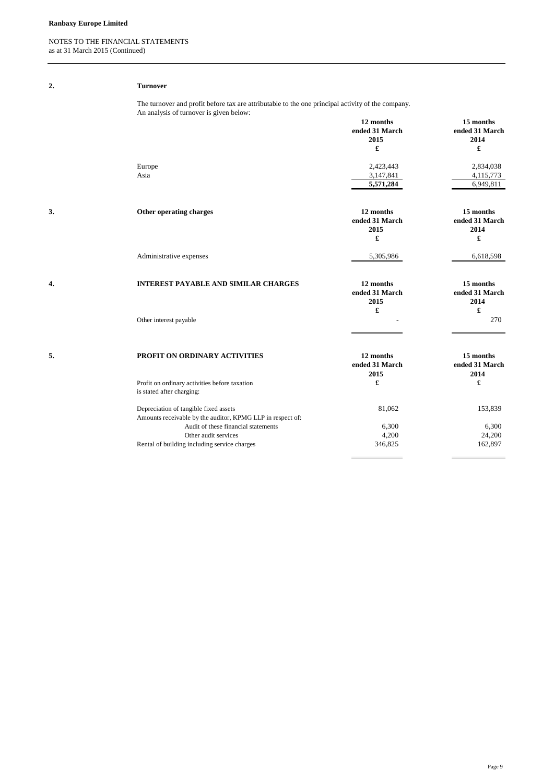## **Ranbaxy Europe Limited**

## NOTES TO THE FINANCIAL STATEMENTS as at 31 March 2015 (Continued)

| 2. | <b>Turnover</b>                                                                                                                              |                                                             |                                          |
|----|----------------------------------------------------------------------------------------------------------------------------------------------|-------------------------------------------------------------|------------------------------------------|
|    | The turnover and profit before tax are attributable to the one principal activity of the company.<br>An analysis of turnover is given below: |                                                             |                                          |
|    |                                                                                                                                              | 12 months<br>ended 31 March<br>2015<br>$\pmb{\mathfrak{L}}$ | 15 months<br>ended 31 March<br>2014<br>£ |
|    | Europe<br>Asia                                                                                                                               | 2,423,443<br>3,147,841<br>5,571,284                         | 2,834,038<br>4,115,773<br>6,949,811      |
| 3. | Other operating charges                                                                                                                      | 12 months<br>ended 31 March<br>2015<br>£                    | 15 months<br>ended 31 March<br>2014<br>£ |
|    | Administrative expenses                                                                                                                      | 5,305,986                                                   | 6,618,598                                |
| 4. | <b>INTEREST PAYABLE AND SIMILAR CHARGES</b>                                                                                                  | 12 months<br>ended 31 March<br>2015<br>£                    | 15 months<br>ended 31 March<br>2014<br>£ |
|    | Other interest payable                                                                                                                       |                                                             | 270                                      |
| 5. | PROFIT ON ORDINARY ACTIVITIES                                                                                                                | 12 months<br>ended 31 March<br>2015                         | 15 months<br>ended 31 March<br>2014      |
|    | Profit on ordinary activities before taxation<br>is stated after charging:                                                                   | £                                                           | £                                        |
|    | Depreciation of tangible fixed assets<br>Amounts receivable by the auditor, KPMG LLP in respect of:                                          | 81,062                                                      | 153,839                                  |
|    | Audit of these financial statements                                                                                                          | 6,300                                                       | 6,300                                    |
|    | Other audit services                                                                                                                         | 4,200                                                       | 24,200                                   |
|    | Rental of building including service charges                                                                                                 | 346,825                                                     | 162,897                                  |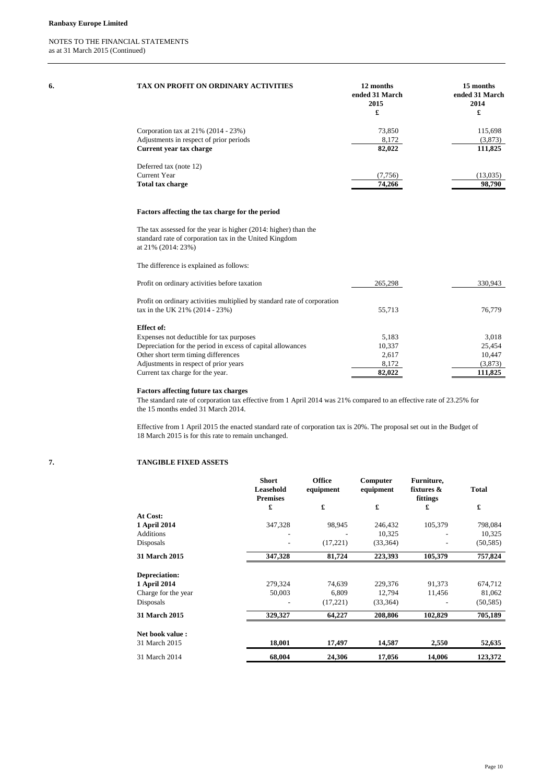| 6. | TAX ON PROFIT ON ORDINARY ACTIVITIES                                                                                                               | 12 months<br>ended 31 March<br>2015<br>£ | 15 months<br>ended 31 March<br>2014<br>£ |
|----|----------------------------------------------------------------------------------------------------------------------------------------------------|------------------------------------------|------------------------------------------|
|    | Corporation tax at 21% (2014 - 23%)<br>Adjustments in respect of prior periods<br>Current year tax charge                                          | 73,850<br>8,172<br>82,022                | 115,698<br>(3,873)<br>111,825            |
|    | Deferred tax (note 12)<br><b>Current Year</b><br>Total tax charge                                                                                  | (7, 756)<br>74,266                       | (13,035)<br>98,790                       |
|    | Factors affecting the tax charge for the period                                                                                                    |                                          |                                          |
|    | The tax assessed for the year is higher (2014: higher) than the<br>standard rate of corporation tax in the United Kingdom<br>at $21\%$ (2014: 23%) |                                          |                                          |
|    | The difference is explained as follows:                                                                                                            |                                          |                                          |
|    | Profit on ordinary activities before taxation                                                                                                      | 265,298                                  | 330,943                                  |
|    | Profit on ordinary activities multiplied by standard rate of corporation                                                                           |                                          |                                          |

| Profit on ordinary activities before taxation                                                              | 265,298 | 330,943 |
|------------------------------------------------------------------------------------------------------------|---------|---------|
| Profit on ordinary activities multiplied by standard rate of corporation<br>tax in the UK 21% (2014 - 23%) | 55.713  | 76,779  |
| Effect of:                                                                                                 |         |         |
| Expenses not deductible for tax purposes                                                                   | 5.183   | 3.018   |
| Depreciation for the period in excess of capital allowances                                                | 10,337  | 25,454  |
| Other short term timing differences                                                                        | 2,617   | 10,447  |
| Adjustments in respect of prior years                                                                      | 8,172   | (3,873) |
| Current tax charge for the year.                                                                           | 82,022  | 111,825 |

## **Factors affecting future tax charges**

The standard rate of corporation tax effective from 1 April 2014 was 21% compared to an effective rate of 23.25% for the 15 months ended 31 March 2014.

Effective from 1 April 2015 the enacted standard rate of corporation tax is 20%. The proposal set out in the Budget of 18 March 2015 is for this rate to remain unchanged.

# **7. TANGIBLE FIXED ASSETS**

|                      | <b>Short</b><br>Leasehold<br><b>Premises</b> | Office<br>equipment | Computer<br>equipment | Furniture,<br>fixtures $\&$<br>fittings | <b>Total</b> |
|----------------------|----------------------------------------------|---------------------|-----------------------|-----------------------------------------|--------------|
|                      | £                                            | £                   | £                     | £                                       | £            |
| At Cost:             |                                              |                     |                       |                                         |              |
| 1 April 2014         | 347,328                                      | 98,945              | 246,432               | 105,379                                 | 798,084      |
| <b>Additions</b>     |                                              |                     | 10.325                |                                         | 10,325       |
| Disposals            |                                              | (17,221)            | (33, 364)             |                                         | (50, 585)    |
| <b>31 March 2015</b> | 347,328                                      | 81,724              | 223,393               | 105,379                                 | 757,824      |
| Depreciation:        |                                              |                     |                       |                                         |              |
| 1 April 2014         | 279,324                                      | 74,639              | 229,376               | 91,373                                  | 674,712      |
| Charge for the year  | 50,003                                       | 6,809               | 12,794                | 11,456                                  | 81,062       |
| Disposals            |                                              | (17,221)            | (33, 364)             |                                         | (50, 585)    |
| 31 March 2015        | 329,327                                      | 64,227              | 208,806               | 102,829                                 | 705,189      |
| Net book value:      |                                              |                     |                       |                                         |              |
| 31 March 2015        | 18,001                                       | 17,497              | 14,587                | 2,550                                   | 52,635       |
| 31 March 2014        | 68,004                                       | 24,306              | 17,056                | 14,006                                  | 123,372      |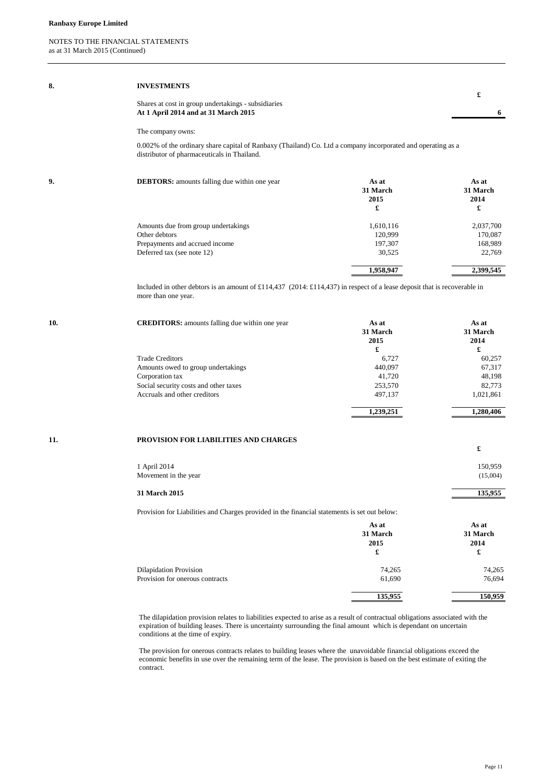| 8.  | <b>INVESTMENTS</b>                                                                                                                                          |                                           | £                                         |
|-----|-------------------------------------------------------------------------------------------------------------------------------------------------------------|-------------------------------------------|-------------------------------------------|
|     | Shares at cost in group undertakings - subsidiaries<br>At 1 April 2014 and at 31 March 2015                                                                 |                                           | 6                                         |
|     | The company owns:                                                                                                                                           |                                           |                                           |
|     | 0.002% of the ordinary share capital of Ranbaxy (Thailand) Co. Ltd a company incorporated and operating as a<br>distributor of pharmaceuticals in Thailand. |                                           |                                           |
| 9.  | <b>DEBTORS:</b> amounts falling due within one year                                                                                                         | As at<br>31 March<br>2015<br>£            | As at<br>31 March<br>2014<br>£            |
|     | Amounts due from group undertakings<br>Other debtors<br>Prepayments and accrued income<br>Deferred tax (see note 12)                                        | 1,610,116<br>120,999<br>197,307<br>30,525 | 2,037,700<br>170,087<br>168,989<br>22,769 |
|     |                                                                                                                                                             | 1,958,947                                 | 2,399,545                                 |
|     | Included in other debtors is an amount of £114,437 (2014: £114,437) in respect of a lease deposit that is recoverable in<br>more than one year.             |                                           |                                           |
| 10. | <b>CREDITORS:</b> amounts falling due within one year                                                                                                       | As at<br>31 March<br>2015                 | As at<br>31 March                         |
|     |                                                                                                                                                             |                                           | 2014                                      |
|     |                                                                                                                                                             | £                                         | £                                         |
|     | <b>Trade Creditors</b>                                                                                                                                      | 6,727                                     | 60,257                                    |
|     | Amounts owed to group undertakings                                                                                                                          | 440,097<br>41,720                         | 67,317<br>48,198                          |
|     | Corporation tax<br>Social security costs and other taxes                                                                                                    | 253,570                                   | 82,773                                    |
|     | Accruals and other creditors                                                                                                                                | 497,137                                   | 1,021,861                                 |

#### **11. PROVISION FOR LIABILITIES AND CHARGES**

| 31 March 2015        | 135,955  |
|----------------------|----------|
| Movement in the year | (15,004) |
| 1 April 2014         | 150,959  |
|                      |          |

Provision for Liabilities and Charges provided in the financial statements is set out below:

|                                 | As at<br>31 March<br>2015<br>£ | As at<br>31 March<br>2014<br>£ |
|---------------------------------|--------------------------------|--------------------------------|
| <b>Dilapidation Provision</b>   | 74,265                         | 74,265                         |
| Provision for onerous contracts | 61,690                         | 76,694                         |
|                                 | 135,955                        | 150,959                        |

The dilapidation provision relates to liabilities expected to arise as a result of contractual obligations associated with the expiration of building leases. There is uncertainty surrounding the final amount which is dependant on uncertain conditions at the time of expiry.

The provision for onerous contracts relates to building leases where the unavoidable financial obligations exceed the economic benefits in use over the remaining term of the lease. The provision is based on the best estimate of exiting the contract.

**£**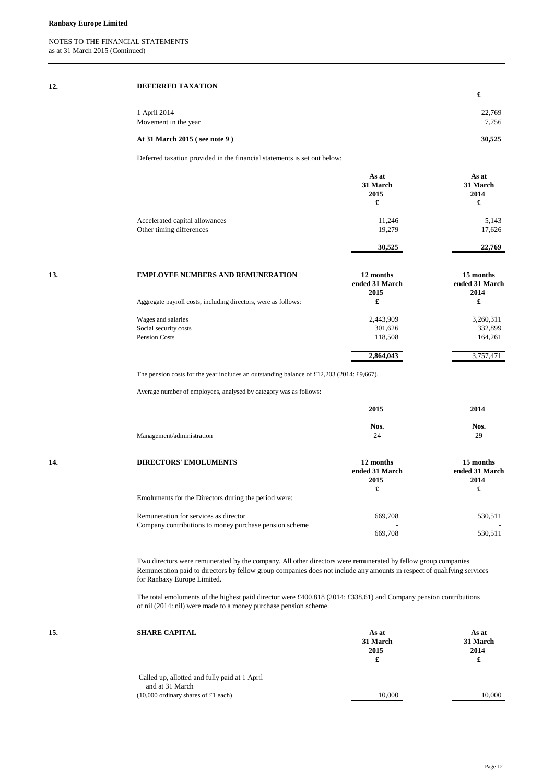| 12. | DEFERRED TAXATION                                                        |          |
|-----|--------------------------------------------------------------------------|----------|
|     |                                                                          | £        |
|     | 1 April 2014                                                             | 22,769   |
|     | Movement in the year                                                     | 7,756    |
|     | At 31 March 2015 (see note 9)                                            | 30,525   |
|     | Deferred taxation provided in the financial statements is set out below: |          |
|     | As at                                                                    | As at    |
|     | 31 March                                                                 | 31 March |
|     |                                                                          |          |

|                                | эт магсп<br>2015<br>£ | эт магеп<br>2014<br>£ |
|--------------------------------|-----------------------|-----------------------|
| Accelerated capital allowances | 11,246                | 5,143                 |
| Other timing differences       | 19.279                | 17,626                |
|                                | 30,525                | 22,769                |

| 13. | <b>EMPLOYEE NUMBERS AND REMUNERATION</b>                       | 12 months<br>ended 31 March | 15 months<br>ended 31 March |
|-----|----------------------------------------------------------------|-----------------------------|-----------------------------|
|     | Aggregate payroll costs, including directors, were as follows: | 2015<br>£                   | 2014<br>£                   |
|     | Wages and salaries                                             | 2,443,909                   | 3,260,311                   |
|     | Social security costs                                          | 301,626                     | 332,899                     |
|     | <b>Pension Costs</b>                                           | 118,508                     | 164,261                     |
|     |                                                                | 2,864,043                   | 3,757,471                   |
|     |                                                                |                             |                             |

The pension costs for the year includes an outstanding balance of £12,203 (2014: £9,667).

Average number of employees, analysed by category was as follows:

|     |                                                        | 2015                        | 2014                        |
|-----|--------------------------------------------------------|-----------------------------|-----------------------------|
|     |                                                        | Nos.                        | Nos.                        |
|     | Management/administration                              | 24                          | 29                          |
| 14. | <b>DIRECTORS' EMOLUMENTS</b>                           | 12 months<br>ended 31 March | 15 months<br>ended 31 March |
|     |                                                        | 2015                        | 2014                        |
|     |                                                        | £                           | £                           |
|     | Emoluments for the Directors during the period were:   |                             |                             |
|     | Remuneration for services as director                  | 669,708                     | 530,511                     |
|     | Company contributions to money purchase pension scheme |                             |                             |
|     |                                                        | 669,708                     | 530,511                     |

Two directors were remunerated by the company. All other directors were remunerated by fellow group companies Remuneration paid to directors by fellow group companies does not include any amounts in respect of qualifying services for Ranbaxy Europe Limited.

The total emoluments of the highest paid director were £400,818 (2014: £338,61) and Company pension contributions of nil (2014: nil) were made to a money purchase pension scheme.

| 15. | <b>SHARE CAPITAL</b>                                      | As at<br>31 March<br>2015<br>£ | As at<br>31 March<br>2014 |
|-----|-----------------------------------------------------------|--------------------------------|---------------------------|
|     | Called up, allotted and fully paid at 1 April             |                                |                           |
|     | and at 31 March<br>$(10,000)$ ordinary shares of £1 each) | 10,000                         | 10,000                    |

Page 12